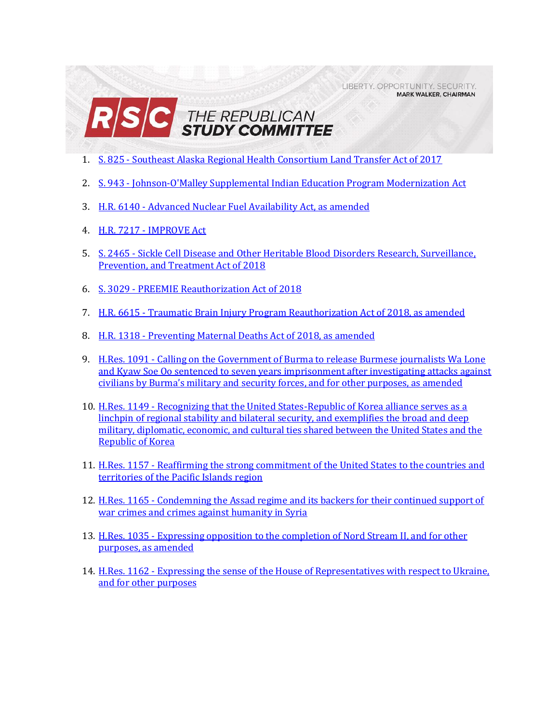LIBERTY, OPPORTUNITY, SECURITY, **MARK WALKER, CHAIRMAN** 



- 1. S. 825 [Southeast Alaska Regional Health Consortium Land Transfer Act of 2017](#page-1-0)
- 2. S. 943 [Johnson-O'Malley Supplemental Indian Education Program Modernization Act](#page-3-0)
- 3. H.R. 6140 [Advanced Nuclear Fuel Availability Act, as amended](#page-5-0)
- 4. H.R. 7217 [IMPROVE Act](#page-7-0)
- 5. S. 2465 [Sickle Cell Disease and Other Heritable Blood Disorders Research, Surveillance,](#page-11-0)  [Prevention, and Treatment Act of 2018](#page-11-0)
- 6. S. 3029 [PREEMIE Reauthorization Act of 2018](#page-13-0)
- 7. H.R. 6615 [Traumatic Brain Injury Program Reauthorization Act of 2018, as amended](#page-15-0)
- 8. H.R. 1318 [Preventing Maternal Deaths Act of 2018, as amended](#page-17-0)
- 9. H.Res. 1091 [Calling on the Government of Burma to release Burmese journalists Wa Lone](#page-19-0)  [and Kyaw Soe Oo sentenced to seven years imprisonment after investigating attacks against](#page-19-0)  civilians by Burma's military and [security forces, and for other purposes, as amended](#page-19-0)
- 10. H.Res. 1149 [Recognizing that the United States-Republic of Korea alliance serves as a](#page-20-0)  [linchpin of regional stability and bilateral security, and exemplifies the broad and deep](#page-20-0)  [military, diplomatic, economic, and cultural ties shared between the United States and the](#page-20-0)  [Republic of Korea](#page-20-0)
- 11. H.Res. 1157 [Reaffirming the strong commitment of the United States to the countries and](#page-22-0)  [territories of the Pacific Islands region](#page-22-0)
- 12. H.Res. 1165 [Condemning the Assad regime and its backers for their continued support of](#page-23-0)  [war crimes and crimes against humanity in Syria](#page-23-0)
- 13. H.Res. 1035 [Expressing opposition to the completion of Nord Stream II, and for other](#page-24-0)  [purposes, as amended](#page-24-0)
- 14. H.Res. 1162 Expressing the sense of the House of Representatives with respect to Ukraine, [and for other purposes](#page-25-0)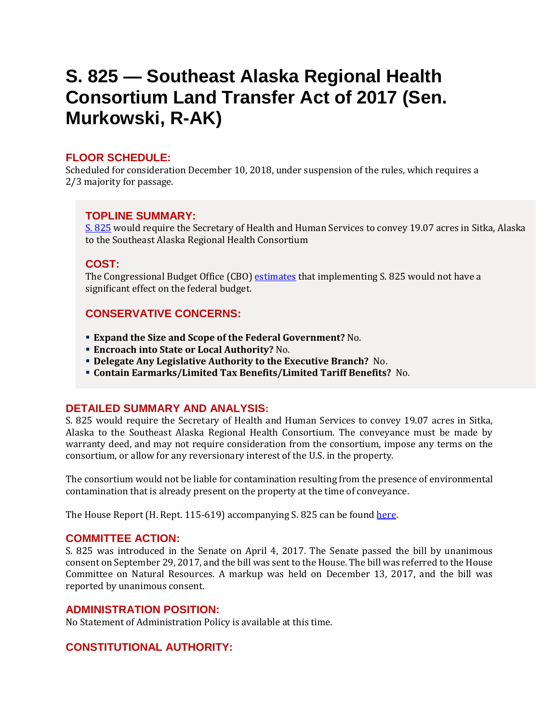## <span id="page-1-0"></span>**S. 825 — Southeast Alaska Regional Health Consortium Land Transfer Act of 2017 (Sen. Murkowski, R-AK)**

## **FLOOR SCHEDULE:**

Scheduled for consideration December 10, 2018, under suspension of the rules, which requires a 2/3 majority for passage.

### **TOPLINE SUMMARY:**

[S. 825](https://docs.house.gov/billsthisweek/20181210/S825.pdf) would require the Secretary of Health and Human Services to convey 19.07 acres in Sitka, Alaska to the Southeast Alaska Regional Health Consortium

### **COST:**

The Congressional Budget Office (CBO) [estimates](https://www.cbo.gov/system/files?file=115th-congress-2017-2018/costestimate/s825_1.pdf) that implementing S. 825 would not have a significant effect on the federal budget.

## **CONSERVATIVE CONCERNS:**

- **Expand the Size and Scope of the Federal Government?** No.
- **Encroach into State or Local Authority?** No.
- **Delegate Any Legislative Authority to the Executive Branch?** No.
- **Contain Earmarks/Limited Tax Benefits/Limited Tariff Benefits?** No.

### **DETAILED SUMMARY AND ANALYSIS:**

S. 825 would require the Secretary of Health and Human Services to convey 19.07 acres in Sitka, Alaska to the Southeast Alaska Regional Health Consortium. The conveyance must be made by warranty deed, and may not require consideration from the consortium, impose any terms on the consortium, or allow for any reversionary interest of the U.S. in the property.

The consortium would not be liable for contamination resulting from the presence of environmental contamination that is already present on the property at the time of conveyance.

The House Report (H. Rept. 115-619) accompanying S. 825 can be found [here.](https://www.congress.gov/115/crpt/hrpt619/CRPT-115hrpt619-pt1.pdf)

### **COMMITTEE ACTION:**

S. 825 was introduced in the Senate on April 4, 2017. The Senate passed the bill by unanimous consent on September 29, 2017, and the bill was sent to the House. The bill was referred to the House Committee on Natural Resources. A markup was held on December 13, 2017, and the bill was reported by unanimous consent.

### **ADMINISTRATION POSITION:**

No Statement of Administration Policy is available at this time.

## **CONSTITUTIONAL AUTHORITY:**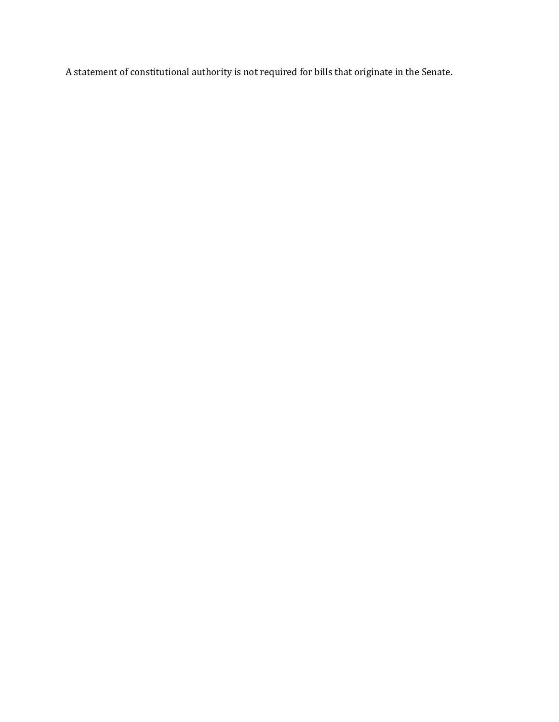A statement of constitutional authority is not required for bills that originate in the Senate.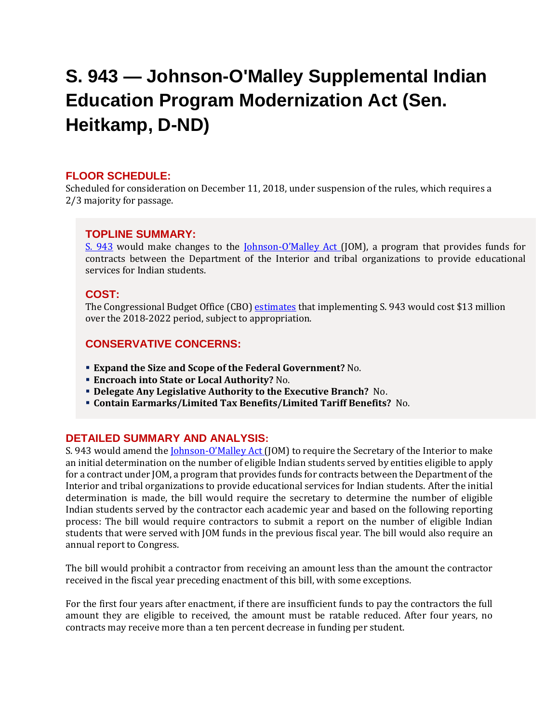# <span id="page-3-0"></span>**S. 943 — Johnson-O'Malley Supplemental Indian Education Program Modernization Act (Sen. Heitkamp, D-ND)**

### **FLOOR SCHEDULE:**

Scheduled for consideration on December 11, 2018, under suspension of the rules, which requires a 2/3 majority for passage.

### **TOPLINE SUMMARY:**

[S. 943](https://docs.house.gov/billsthisweek/20181210/S943.pdf) would make changes to the Johnson-[O'Malley Act](http://uscode.house.gov/view.xhtml?req=(title:25%20section:5342%20edition:prelim)%20OR%20(granuleid:USC-prelim-title25-section5342)&f=treesort&edition=prelim&num=0&jumpTo=true) (JOM), a program that provides funds for contracts between the Department of the Interior and tribal organizations to provide educational services for Indian students.

#### **COST:**

The Congressional Budget Office (CBO) [estimates](https://www.cbo.gov/system/files?file=115th-congress-2017-2018/costestimate/s943.pdf) that implementing S. 943 would cost \$13 million over the 2018-2022 period, subject to appropriation.

### **CONSERVATIVE CONCERNS:**

- **Expand the Size and Scope of the Federal Government?** No.
- **Encroach into State or Local Authority?** No.
- **Delegate Any Legislative Authority to the Executive Branch?** No.
- **Contain Earmarks/Limited Tax Benefits/Limited Tariff Benefits?** No.

#### **DETAILED SUMMARY AND ANALYSIS:**

S. 943 would amend the *Johnson-O'Malley Act* (JOM) to require the Secretary of the Interior to make an initial determination on the number of eligible Indian students served by entities eligible to apply for a contract under JOM, a program that provides funds for contracts between the Department of the Interior and tribal organizations to provide educational services for Indian students. After the initial determination is made, the bill would require the secretary to determine the number of eligible Indian students served by the contractor each academic year and based on the following reporting process: The bill would require contractors to submit a report on the number of eligible Indian students that were served with JOM funds in the previous fiscal year. The bill would also require an annual report to Congress.

The bill would prohibit a contractor from receiving an amount less than the amount the contractor received in the fiscal year preceding enactment of this bill, with some exceptions.

For the first four years after enactment, if there are insufficient funds to pay the contractors the full amount they are eligible to received, the amount must be ratable reduced. After four years, no contracts may receive more than a ten percent decrease in funding per student.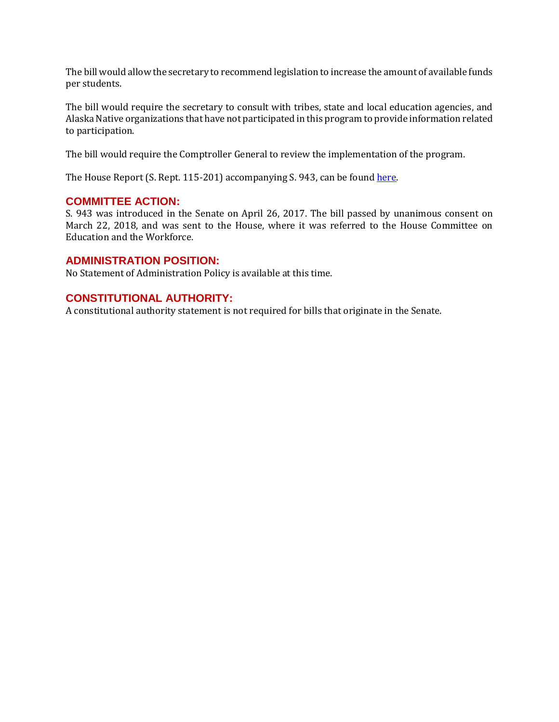The bill would allow the secretary to recommend legislation to increase the amount of available funds per students.

The bill would require the secretary to consult with tribes, state and local education agencies, and Alaska Native organizations that have not participated in this program to provide information related to participation.

The bill would require the Comptroller General to review the implementation of the program.

The House Report (S. Rept. 115-201) accompanying S. 943, can be found here.

### **COMMITTEE ACTION:**

S. 943 was introduced in the Senate on April 26, 2017. The bill passed by unanimous consent on March 22, 2018, and was sent to the House, where it was referred to the House Committee on Education and the Workforce.

#### **ADMINISTRATION POSITION:**

No Statement of Administration Policy is available at this time.

### **CONSTITUTIONAL AUTHORITY:**

A constitutional authority statement is not required for bills that originate in the Senate.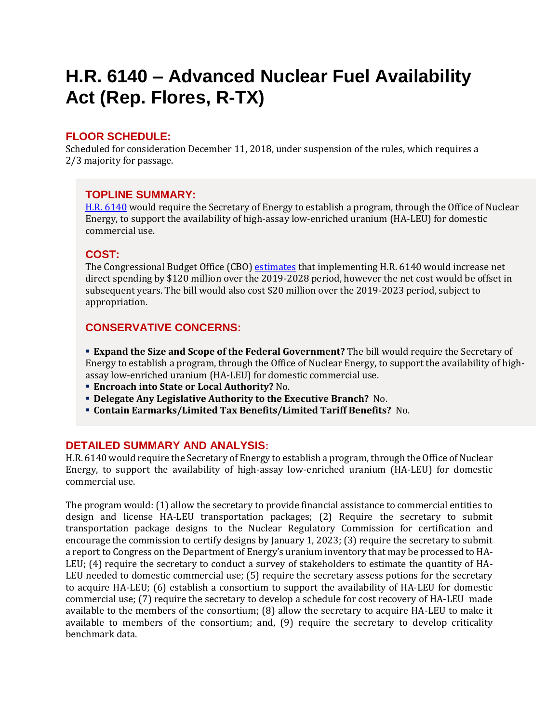## <span id="page-5-0"></span>**H.R. 6140 – Advanced Nuclear Fuel Availability Act (Rep. Flores, R-TX)**

### **FLOOR SCHEDULE:**

Scheduled for consideration December 11, 2018, under suspension of the rules, which requires a 2/3 majority for passage.

### **TOPLINE SUMMARY:**

[H.R. 6140](https://docs.house.gov/billsthisweek/20181210/HR6140.pdf) would require the Secretary of Energy to establish a program, through the Office of Nuclear Energy, to support the availability of high-assay low-enriched uranium (HA-LEU) for domestic commercial use.

### **COST:**

The Congressional Budget Office (CBO) [estimates](https://www.cbo.gov/system/files?file=2018-11/hr6140.pdf) that implementing H.R. 6140 would increase net direct spending by \$120 million over the 2019-2028 period, however the net cost would be offset in subsequent years. The bill would also cost \$20 million over the 2019-2023 period, subject to appropriation.

## **CONSERVATIVE CONCERNS:**

 **Expand the Size and Scope of the Federal Government?** The bill would require the Secretary of Energy to establish a program, through the Office of Nuclear Energy, to support the availability of highassay low-enriched uranium (HA-LEU) for domestic commercial use.

- **Encroach into State or Local Authority?** No.
- **Delegate Any Legislative Authority to the Executive Branch?** No.
- **Contain Earmarks/Limited Tax Benefits/Limited Tariff Benefits?** No.

### **DETAILED SUMMARY AND ANALYSIS:**

H.R. 6140 would require the Secretary of Energy to establish a program, through the Office of Nuclear Energy, to support the availability of high-assay low-enriched uranium (HA-LEU) for domestic commercial use.

The program would: (1) allow the secretary to provide financial assistance to commercial entities to design and license HA-LEU transportation packages; (2) Require the secretary to submit transportation package designs to the Nuclear Regulatory Commission for certification and encourage the commission to certify designs by January 1, 2023; (3) require the secretary to submit a report to Congress on the Department of Energy's uranium inventory that may be processed to HA-LEU; (4) require the secretary to conduct a survey of stakeholders to estimate the quantity of HA-LEU needed to domestic commercial use; (5) require the secretary assess potions for the secretary to acquire HA-LEU; (6) establish a consortium to support the availability of HA-LEU for domestic commercial use; (7) require the secretary to develop a schedule for cost recovery of HA-LEU made available to the members of the consortium; (8) allow the secretary to acquire HA-LEU to make it available to members of the consortium; and, (9) require the secretary to develop criticality benchmark data.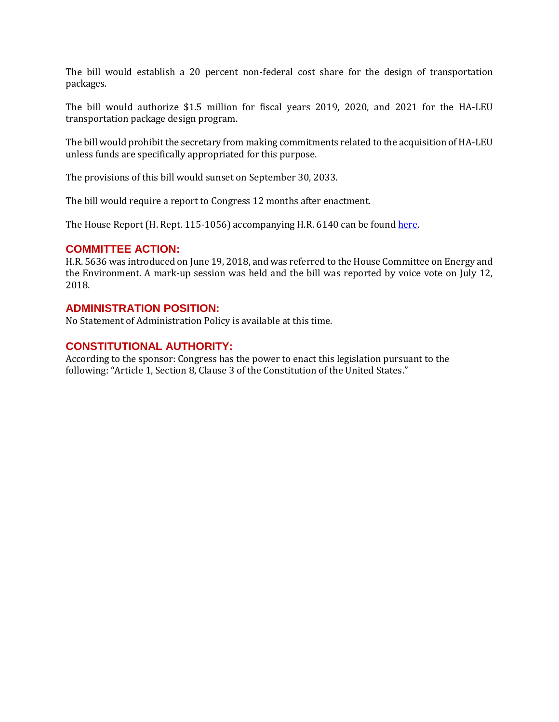The bill would establish a 20 percent non-federal cost share for the design of transportation packages.

The bill would authorize \$1.5 million for fiscal years 2019, 2020, and 2021 for the HA-LEU transportation package design program.

The bill would prohibit the secretary from making commitments related to the acquisition of HA-LEU unless funds are specifically appropriated for this purpose.

The provisions of this bill would sunset on September 30, 2033.

The bill would require a report to Congress 12 months after enactment.

The House Report (H. Rept. 115-1056) accompanying H.R. 6140 can be found [here.](https://www.congress.gov/115/crpt/hrpt1056/CRPT-115hrpt1056.pdf) 

#### **COMMITTEE ACTION:**

H.R. 5636 was introduced on June 19, 2018, and was referred to the House Committee on Energy and the Environment. A mark-up session was held and the bill was reported by voice vote on July 12, 2018.

#### **ADMINISTRATION POSITION:**

No Statement of Administration Policy is available at this time.

### **CONSTITUTIONAL AUTHORITY:**

According to the sponsor: Congress has the power to enact this legislation pursuant to the following: "Article 1, Section 8, Clause 3 of the Constitution of the United States."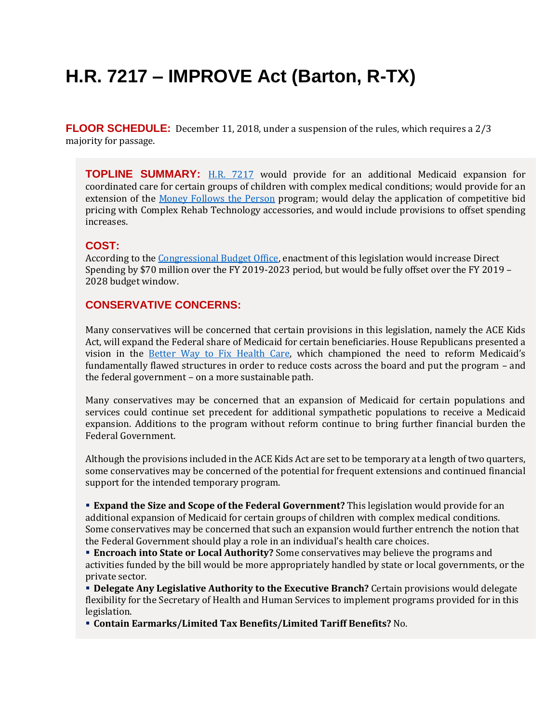# <span id="page-7-0"></span>**H.R. 7217 – IMPROVE Act (Barton, R-TX)**

**FLOOR SCHEDULE:** December 11, 2018, under a suspension of the rules, which requires a 2/3 majority for passage.

**TOPLINE SUMMARY:** [H.R. 7217](https://docs.house.gov/billsthisweek/20181210/HR7217.pdf) would provide for an additional Medicaid expansion for coordinated care for certain groups of children with complex medical conditions; would provide for an extension of the [Money Follows the Person](https://www.medicaid.gov/medicaid/ltss/money-follows-the-person/index.html) program; would delay the application of competitive bid pricing with Complex Rehab Technology accessories, and would include provisions to offset spending increases.

### **COST:**

According to the [Congressional Budget Office,](https://www.cbo.gov/system/files?file=2018-12/hr7217.pdf) enactment of this legislation would increase Direct Spending by \$70 million over the FY 2019-2023 period, but would be fully offset over the FY 2019 – 2028 budget window.

### **CONSERVATIVE CONCERNS:**

Many conservatives will be concerned that certain provisions in this legislation, namely the ACE Kids Act, will expand the Federal share of Medicaid for certain beneficiaries. House Republicans presented a vision in the [Better Way to Fix Health Care](https://abetterway.speaker.gov/_assets/pdf/ABetterWay-HealthCare-FAQ.pdf), which championed the need to reform Medicaid's fundamentally flawed structures in order to reduce costs across the board and put the program – and the federal government – on a more sustainable path.

Many conservatives may be concerned that an expansion of Medicaid for certain populations and services could continue set precedent for additional sympathetic populations to receive a Medicaid expansion. Additions to the program without reform continue to bring further financial burden the Federal Government.

Although the provisions included in the ACE Kids Act are set to be temporary at a length of two quarters, some conservatives may be concerned of the potential for frequent extensions and continued financial support for the intended temporary program.

**Expand the Size and Scope of the Federal Government?** This legislation would provide for an additional expansion of Medicaid for certain groups of children with complex medical conditions. Some conservatives may be concerned that such an expansion would further entrench the notion that the Federal Government should play a role in an individual's health care choices.

 **Encroach into State or Local Authority?** Some conservatives may believe the programs and activities funded by the bill would be more appropriately handled by state or local governments, or the private sector.

**Delegate Any Legislative Authority to the Executive Branch?** Certain provisions would delegate flexibility for the Secretary of Health and Human Services to implement programs provided for in this legislation.

**Contain Earmarks/Limited Tax Benefits/Limited Tariff Benefits?** No.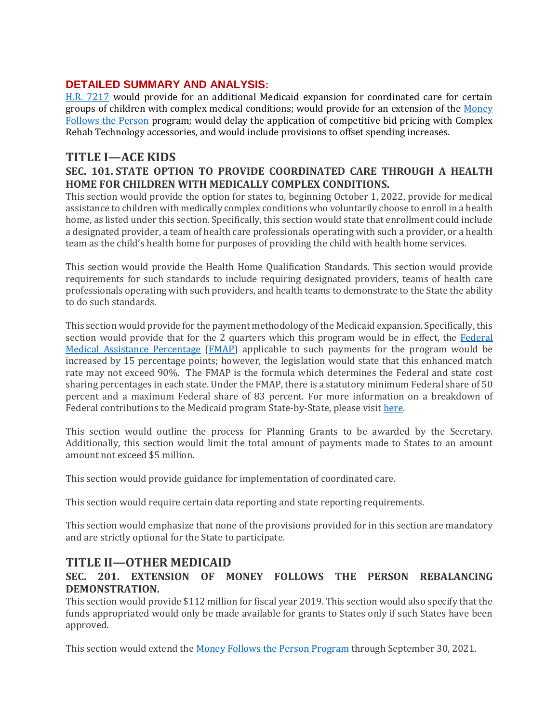### **DETAILED SUMMARY AND ANALYSIS:**

[H.R. 7217](https://docs.house.gov/billsthisweek/20181210/HR7217.pdf) would provide for an additional Medicaid expansion for coordinated care for certain groups of children with complex medical conditions; would provide for an extension of the [Money](https://www.medicaid.gov/medicaid/ltss/money-follows-the-person/index.html)  [Follows the Person](https://www.medicaid.gov/medicaid/ltss/money-follows-the-person/index.html) program; would delay the application of competitive bid pricing with Complex Rehab Technology accessories, and would include provisions to offset spending increases.

## **TITLE I—ACE KIDS**

### **SEC. 101. STATE OPTION TO PROVIDE COORDINATED CARE THROUGH A HEALTH HOME FOR CHILDREN WITH MEDICALLY COMPLEX CONDITIONS.**

This section would provide the option for states to, beginning October 1, 2022, provide for medical assistance to children with medically complex conditions who voluntarily choose to enroll in a health home, as listed under this section. Specifically, this section would state that enrollment could include a designated provider, a team of health care professionals operating with such a provider, or a health team as the child's health home for purposes of providing the child with health home services.

This section would provide the Health Home Qualification Standards. This section would provide requirements for such standards to include requiring designated providers, teams of health care professionals operating with such providers, and health teams to demonstrate to the State the ability to do such standards.

This section would provide for the payment methodology of the Medicaid expansion. Specifically, this section would provide that for the 2 quarters which this program would be in effect, the [Federal](https://www.macpac.gov/subtopic/matching-rates/)  [Medical Assistance Percentage](https://www.macpac.gov/subtopic/matching-rates/) [\(FMAP\)](https://fas.org/sgp/crs/misc/R43847.pdf) applicable to such payments for the program would be increased by 15 percentage points; however, the legislation would state that this enhanced match rate may not exceed 90%. The FMAP is the formula which determines the Federal and state cost sharing percentages in each state. Under the FMAP, there is a statutory minimum Federal share of 50 percent and a maximum Federal share of 83 percent. For more information on a breakdown of Federal contributions to the Medicaid program State-by-State, please visit here.

This section would outline the process for Planning Grants to be awarded by the Secretary. Additionally, this section would limit the total amount of payments made to States to an amount amount not exceed \$5 million.

This section would provide guidance for implementation of coordinated care.

This section would require certain data reporting and state reporting requirements.

This section would emphasize that none of the provisions provided for in this section are mandatory and are strictly optional for the State to participate.

## **TITLE II—OTHER MEDICAID**

### **SEC. 201. EXTENSION OF MONEY FOLLOWS THE PERSON REBALANCING DEMONSTRATION.**

This section would provide \$112 million for fiscal year 2019. This section would also specify that the funds appropriated would only be made available for grants to States only if such States have been approved.

This section would extend the [Money Follows the Person Program](https://www.medicaid.gov/medicaid/ltss/money-follows-the-person/index.html) through September 30, 2021.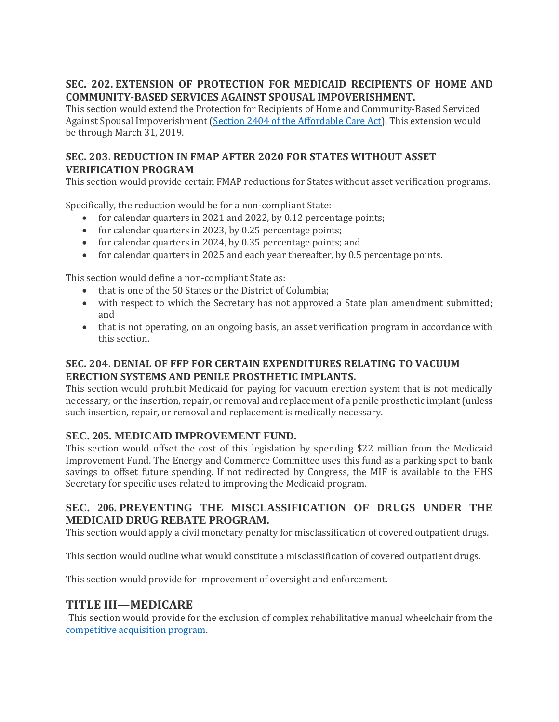## **SEC. 202. EXTENSION OF PROTECTION FOR MEDICAID RECIPIENTS OF HOME AND COMMUNITY-BASED SERVICES AGAINST SPOUSAL IMPOVERISHMENT.**

This section would extend the Protection for Recipients of Home and Community-Based Serviced Against Spousal Impoverishment [\(Section 2404 of the Affordable Care Act\)](https://www.medicaid.gov/federal-policy-guidance/downloads/smd050715.pdf). This extension would be through March 31, 2019.

### **SEC. 203. REDUCTION IN FMAP AFTER 2020 FOR STATES WITHOUT ASSET VERIFICATION PROGRAM**

This section would provide certain FMAP reductions for States without asset verification programs.

Specifically, the reduction would be for a non-compliant State:

- for calendar quarters in 2021 and 2022, by 0.12 percentage points;
- for calendar quarters in 2023, by 0.25 percentage points;
- for calendar quarters in 2024, by 0.35 percentage points; and
- for calendar quarters in 2025 and each year thereafter, by 0.5 percentage points.

This section would define a non-compliant State as:

- that is one of the 50 States or the District of Columbia;
- with respect to which the Secretary has not approved a State plan amendment submitted; and
- that is not operating, on an ongoing basis, an asset verification program in accordance with this section.

### **SEC. 204. DENIAL OF FFP FOR CERTAIN EXPENDITURES RELATING TO VACUUM ERECTION SYSTEMS AND PENILE PROSTHETIC IMPLANTS.**

This section would prohibit Medicaid for paying for vacuum erection system that is not medically necessary; or the insertion, repair, or removal and replacement of a penile prosthetic implant (unless such insertion, repair, or removal and replacement is medically necessary.

### **SEC. 205. MEDICAID IMPROVEMENT FUND.**

This section would offset the cost of this legislation by spending \$22 million from the Medicaid Improvement Fund. The Energy and Commerce Committee uses this fund as a parking spot to bank savings to offset future spending. If not redirected by Congress, the MIF is available to the HHS Secretary for specific uses related to improving the Medicaid program.

### **SEC. 206. PREVENTING THE MISCLASSIFICATION OF DRUGS UNDER THE MEDICAID DRUG REBATE PROGRAM.**

This section would apply a civil monetary penalty for misclassification of covered outpatient drugs.

This section would outline what would constitute a misclassification of covered outpatient drugs.

This section would provide for improvement of oversight and enforcement.

## **TITLE III—MEDICARE**

This section would provide for the exclusion of complex rehabilitative manual wheelchair from the [competitive acquisition program.](https://www.cms.gov/newsroom/fact-sheets/competitive-acquisition-program)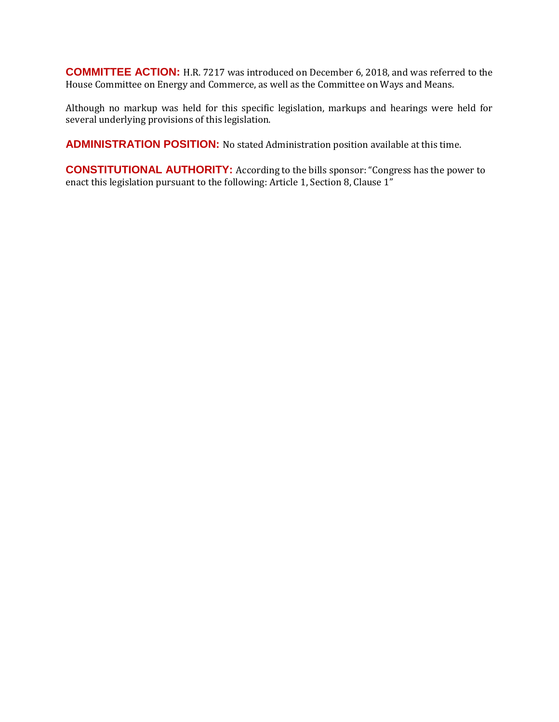**COMMITTEE ACTION:** H.R. 7217 was introduced on December 6, 2018, and was referred to the House Committee on Energy and Commerce, as well as the Committee on Ways and Means.

Although no markup was held for this specific legislation, markups and hearings were held for several underlying provisions of this legislation.

**ADMINISTRATION POSITION:** No stated Administration position available at this time.

**CONSTITUTIONAL AUTHORITY:** According to the bills sponsor: "Congress has the power to enact this legislation pursuant to the following: Article 1, Section 8, Clause 1"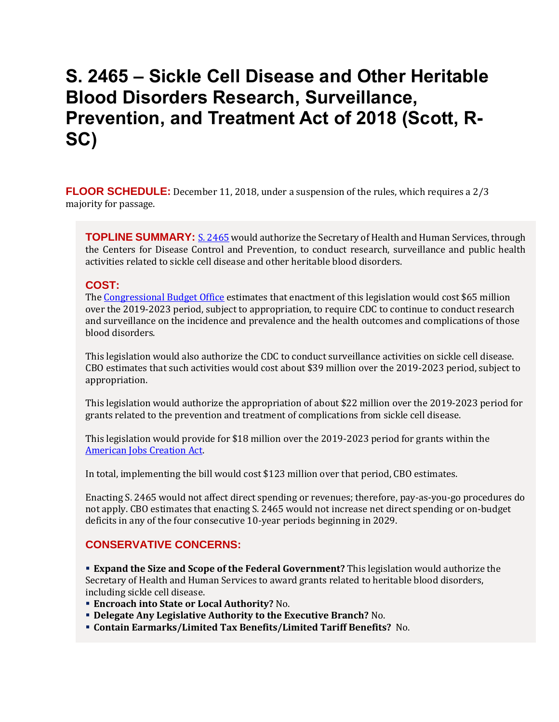## <span id="page-11-0"></span>**S. 2465 – Sickle Cell Disease and Other Heritable Blood Disorders Research, Surveillance, Prevention, and Treatment Act of 2018 (Scott, R-SC)**

**FLOOR SCHEDULE:** December 11, 2018, under a suspension of the rules, which requires a 2/3 majority for passage.

**TOPLINE SUMMARY:** [S. 2465](https://docs.house.gov/billsthisweek/20181210/S2465.pdf) would authorize the Secretary of Health and Human Services, through the Centers for Disease Control and Prevention, to conduct research, surveillance and public health activities related to sickle cell disease and other heritable blood disorders.

### **COST:**

The [Congressional Budget Office](https://www.cbo.gov/system/files?file=2018-08/s2465.pdf) estimates that enactment of this legislation would cost \$65 million over the 2019-2023 period, subject to appropriation, to require CDC to continue to conduct research and surveillance on the incidence and prevalence and the health outcomes and complications of those blood disorders.

This legislation would also authorize the CDC to conduct surveillance activities on sickle cell disease. CBO estimates that such activities would cost about \$39 million over the 2019-2023 period, subject to appropriation.

This legislation would authorize the appropriation of about \$22 million over the 2019-2023 period for grants related to the prevention and treatment of complications from sickle cell disease.

This legislation would provide for \$18 million over the 2019-2023 period for grants within the [American Jobs Creation Act.](https://www.gpo.gov/fdsys/pkg/PLAW-108publ357/pdf/PLAW-108publ357.pdf)

In total, implementing the bill would cost \$123 million over that period, CBO estimates.

Enacting S. 2465 would not affect direct spending or revenues; therefore, pay-as-you-go procedures do not apply. CBO estimates that enacting S. 2465 would not increase net direct spending or on-budget deficits in any of the four consecutive 10-year periods beginning in 2029.

### **CONSERVATIVE CONCERNS:**

 **Expand the Size and Scope of the Federal Government?** This legislation would authorize the Secretary of Health and Human Services to award grants related to heritable blood disorders, including sickle cell disease.

- **Encroach into State or Local Authority?** No.
- **Delegate Any Legislative Authority to the Executive Branch?** No.
- **Contain Earmarks/Limited Tax Benefits/Limited Tariff Benefits?** No.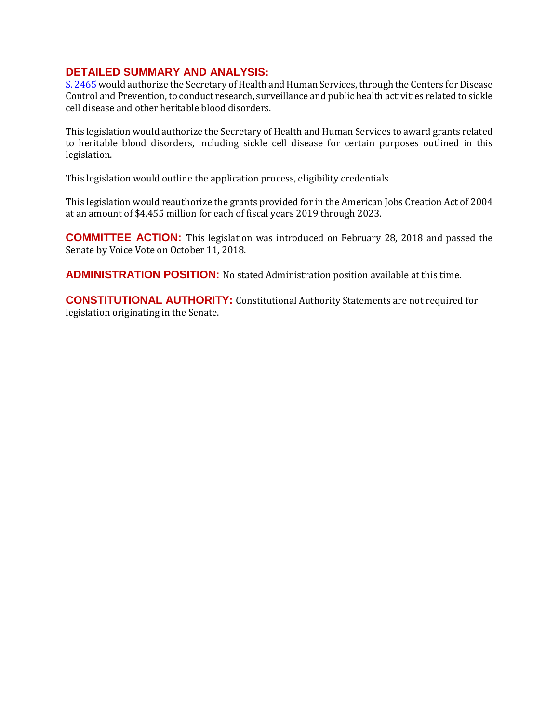### **DETAILED SUMMARY AND ANALYSIS:**

[S. 2465](https://docs.house.gov/billsthisweek/20181210/S2465.pdf) would authorize the Secretary of Health and Human Services, through the Centers for Disease Control and Prevention, to conduct research, surveillance and public health activities related to sickle cell disease and other heritable blood disorders.

This legislation would authorize the Secretary of Health and Human Services to award grants related to heritable blood disorders, including sickle cell disease for certain purposes outlined in this legislation.

This legislation would outline the application process, eligibility credentials

This legislation would reauthorize the grants provided for in the American Jobs Creation Act of 2004 at an amount of \$4.455 million for each of fiscal years 2019 through 2023.

**COMMITTEE ACTION:** This legislation was introduced on February 28, 2018 and passed the Senate by Voice Vote on October 11, 2018.

**ADMINISTRATION POSITION:** No stated Administration position available at this time.

**CONSTITUTIONAL AUTHORITY:** Constitutional Authority Statements are not required for legislation originating in the Senate.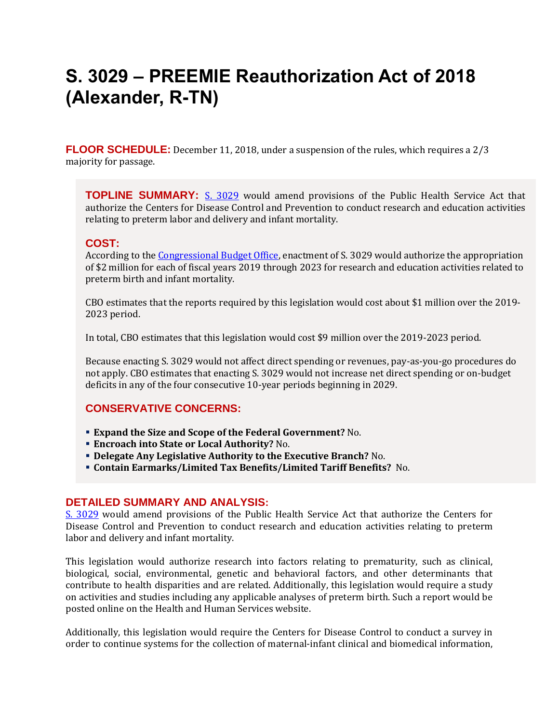## <span id="page-13-0"></span>**S. 3029 – PREEMIE Reauthorization Act of 2018 (Alexander, R-TN)**

**FLOOR SCHEDULE:** December 11, 2018, under a suspension of the rules, which requires a 2/3 majority for passage.

**TOPLINE SUMMARY:** [S. 3029](https://docs.house.gov/billsthisweek/20181210/S3029.pdf) would amend provisions of the Public Health Service Act that authorize the Centers for Disease Control and Prevention to conduct research and education activities relating to preterm labor and delivery and infant mortality.

### **COST:**

According to the [Congressional Budget Office,](https://www.cbo.gov/system/files?file=2018-07/s3029.pdf) enactment of S. 3029 would authorize the appropriation of \$2 million for each of fiscal years 2019 through 2023 for research and education activities related to preterm birth and infant mortality.

CBO estimates that the reports required by this legislation would cost about \$1 million over the 2019- 2023 period.

In total, CBO estimates that this legislation would cost \$9 million over the 2019-2023 period.

Because enacting S. 3029 would not affect direct spending or revenues, pay-as-you-go procedures do not apply. CBO estimates that enacting S. 3029 would not increase net direct spending or on-budget deficits in any of the four consecutive 10-year periods beginning in 2029.

### **CONSERVATIVE CONCERNS:**

- **Expand the Size and Scope of the Federal Government?** No.
- **Encroach into State or Local Authority?** No.
- **Delegate Any Legislative Authority to the Executive Branch?** No.
- **Contain Earmarks/Limited Tax Benefits/Limited Tariff Benefits?** No.

#### **DETAILED SUMMARY AND ANALYSIS:**

[S. 3029](https://docs.house.gov/billsthisweek/20181210/S3029.pdf) would amend provisions of the Public Health Service Act that authorize the Centers for Disease Control and Prevention to conduct research and education activities relating to preterm labor and delivery and infant mortality.

This legislation would authorize research into factors relating to prematurity, such as clinical, biological, social, environmental, genetic and behavioral factors, and other determinants that contribute to health disparities and are related. Additionally, this legislation would require a study on activities and studies including any applicable analyses of preterm birth. Such a report would be posted online on the Health and Human Services website.

Additionally, this legislation would require the Centers for Disease Control to conduct a survey in order to continue systems for the collection of maternal-infant clinical and biomedical information,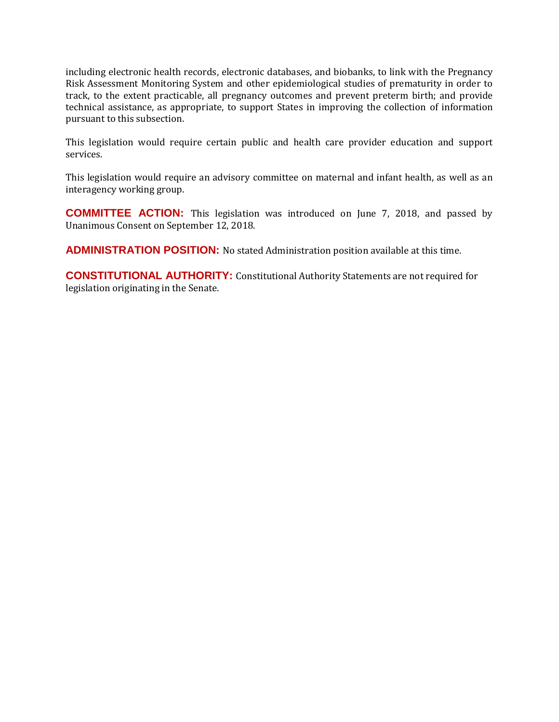including electronic health records, electronic databases, and biobanks, to link with the Pregnancy Risk Assessment Monitoring System and other epidemiological studies of prematurity in order to track, to the extent practicable, all pregnancy outcomes and prevent preterm birth; and provide technical assistance, as appropriate, to support States in improving the collection of information pursuant to this subsection.

This legislation would require certain public and health care provider education and support services.

This legislation would require an advisory committee on maternal and infant health, as well as an interagency working group.

**COMMITTEE ACTION:** This legislation was introduced on June 7, 2018, and passed by Unanimous Consent on September 12, 2018.

**ADMINISTRATION POSITION:** No stated Administration position available at this time.

**CONSTITUTIONAL AUTHORITY:** Constitutional Authority Statements are not required for legislation originating in the Senate.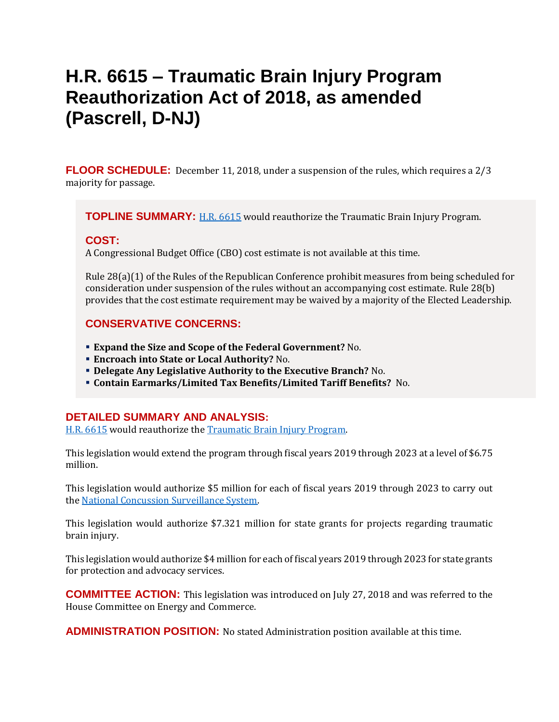## <span id="page-15-0"></span>**H.R. 6615 – Traumatic Brain Injury Program Reauthorization Act of 2018, as amended (Pascrell, D-NJ)**

**FLOOR SCHEDULE:** December 11, 2018, under a suspension of the rules, which requires a 2/3 majority for passage.

**TOPLINE SUMMARY:** [H.R. 6615](https://docs.house.gov/billsthisweek/20181210/HR6615-1.pdf) would reauthorize the Traumatic Brain Injury Program.

### **COST:**

A Congressional Budget Office (CBO) cost estimate is not available at this time.

Rule 28(a)(1) of the Rules of the Republican Conference prohibit measures from being scheduled for consideration under suspension of the rules without an accompanying cost estimate. Rule 28(b) provides that the cost estimate requirement may be waived by a majority of the Elected Leadership.

### **CONSERVATIVE CONCERNS:**

- **Expand the Size and Scope of the Federal Government?** No.
- **Encroach into State or Local Authority?** No.
- **Delegate Any Legislative Authority to the Executive Branch?** No.
- **Contain Earmarks/Limited Tax Benefits/Limited Tariff Benefits?** No.

### **DETAILED SUMMARY AND ANALYSIS:**

[H.R. 6615](https://docs.house.gov/billsthisweek/20181210/HR6615-1.pdf) would reauthorize the [Traumatic Brain Injury Program.](https://acl.gov/programs/post-injury-support/traumatic-brain-injury-tbi)

This legislation would extend the program through fiscal years 2019 through 2023 at a level of \$6.75 million.

This legislation would authorize \$5 million for each of fiscal years 2019 through 2023 to carry out th[e National Concussion Surveillance System.](https://www.cdc.gov/traumaticbraininjury/ncss/index.html)

This legislation would authorize \$7.321 million for state grants for projects regarding traumatic brain injury.

This legislation would authorize \$4 million for each of fiscal years 2019 through 2023 for state grants for protection and advocacy services.

**COMMITTEE ACTION:** This legislation was introduced on July 27, 2018 and was referred to the House Committee on Energy and Commerce.

**ADMINISTRATION POSITION:** No stated Administration position available at this time.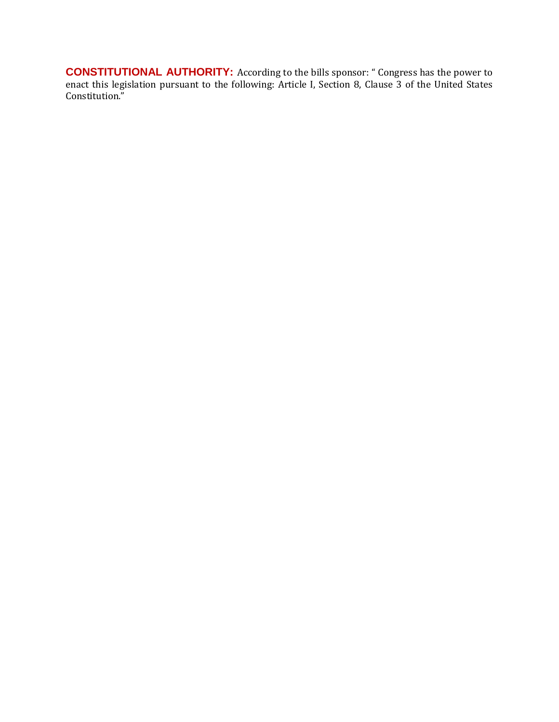**CONSTITUTIONAL AUTHORITY:** According to the bills sponsor: " Congress has the power to enact this legislation pursuant to the following: Article I, Section 8, Clause 3 of the United States Constitution."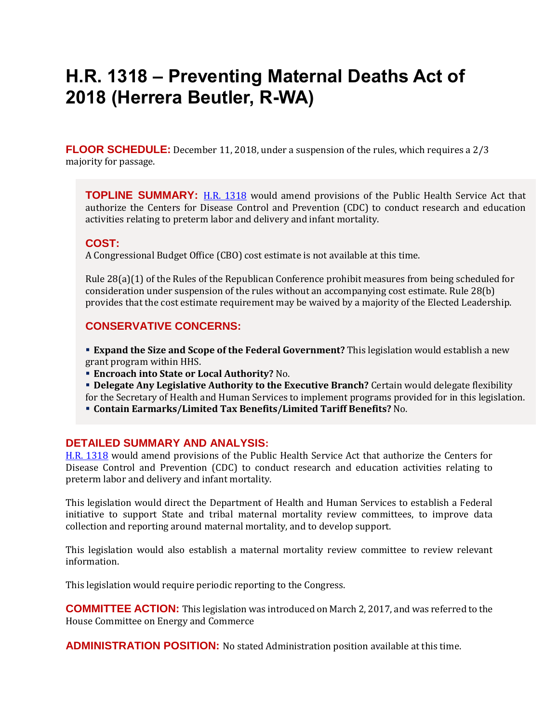## <span id="page-17-0"></span>**H.R. 1318 – Preventing Maternal Deaths Act of 2018 (Herrera Beutler, R-WA)**

**FLOOR SCHEDULE:** December 11, 2018, under a suspension of the rules, which requires a 2/3 majority for passage.

**TOPLINE SUMMARY:** [H.R. 1318](https://docs.house.gov/billsthisweek/20181210/HR1318.pdf) would amend provisions of the Public Health Service Act that authorize the Centers for Disease Control and Prevention (CDC) to conduct research and education activities relating to preterm labor and delivery and infant mortality.

### **COST:**

A Congressional Budget Office (CBO) cost estimate is not available at this time.

Rule 28(a)(1) of the Rules of the Republican Conference prohibit measures from being scheduled for consideration under suspension of the rules without an accompanying cost estimate. Rule 28(b) provides that the cost estimate requirement may be waived by a majority of the Elected Leadership.

### **CONSERVATIVE CONCERNS:**

**Expand the Size and Scope of the Federal Government?** This legislation would establish a new grant program within HHS.

- **Encroach into State or Local Authority?** No.
- **Delegate Any Legislative Authority to the Executive Branch?** Certain would delegate flexibility for the Secretary of Health and Human Services to implement programs provided for in this legislation.
- **Contain Earmarks/Limited Tax Benefits/Limited Tariff Benefits?** No.

#### **DETAILED SUMMARY AND ANALYSIS:**

[H.R. 1318](https://docs.house.gov/billsthisweek/20181210/HR1318.pdf) would amend provisions of the Public Health Service Act that authorize the Centers for Disease Control and Prevention (CDC) to conduct research and education activities relating to preterm labor and delivery and infant mortality.

This legislation would direct the Department of Health and Human Services to establish a Federal initiative to support State and tribal maternal mortality review committees, to improve data collection and reporting around maternal mortality, and to develop support.

This legislation would also establish a maternal mortality review committee to review relevant information.

This legislation would require periodic reporting to the Congress.

**COMMITTEE ACTION:** This legislation was introduced on March 2, 2017, and was referred to the House Committee on Energy and Commerce

**ADMINISTRATION POSITION:** No stated Administration position available at this time.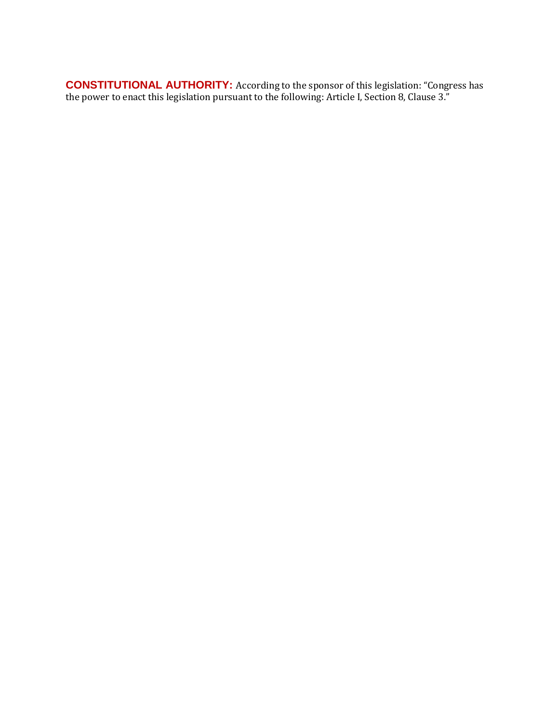**CONSTITUTIONAL AUTHORITY:** According to the sponsor of this legislation: "Congress has the power to enact this legislation pursuant to the following: Article I, Section 8, Clause 3."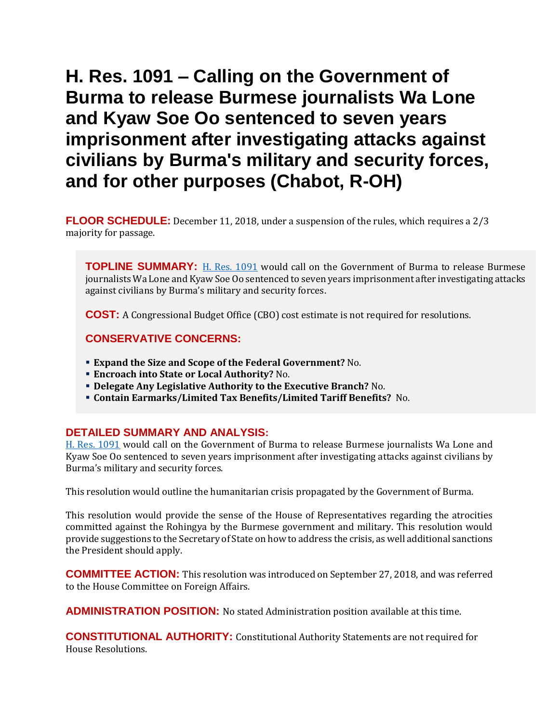## <span id="page-19-0"></span>**H. Res. 1091 – Calling on the Government of Burma to release Burmese journalists Wa Lone and Kyaw Soe Oo sentenced to seven years imprisonment after investigating attacks against civilians by Burma's military and security forces, and for other purposes (Chabot, R-OH)**

**FLOOR SCHEDULE:** December 11, 2018, under a suspension of the rules, which requires a 2/3 majority for passage.

**TOPLINE SUMMARY:** [H. Res. 1091](https://docs.house.gov/billsthisweek/20181210/HRES1091.pdf) would call on the Government of Burma to release Burmese journalists Wa Lone and Kyaw Soe Oo sentenced to seven years imprisonment after investigating attacks against civilians by Burma's military and security forces.

**COST:** A Congressional Budget Office (CBO) cost estimate is not required for resolutions.

### **CONSERVATIVE CONCERNS:**

- **Expand the Size and Scope of the Federal Government?** No.
- **Encroach into State or Local Authority?** No.
- **Delegate Any Legislative Authority to the Executive Branch?** No.
- **Contain Earmarks/Limited Tax Benefits/Limited Tariff Benefits?** No.

### **DETAILED SUMMARY AND ANALYSIS:**

[H. Res. 1091](https://docs.house.gov/billsthisweek/20181210/HRES1091.pdf) would call on the Government of Burma to release Burmese journalists Wa Lone and Kyaw Soe Oo sentenced to seven years imprisonment after investigating attacks against civilians by Burma's military and security forces.

This resolution would outline the humanitarian crisis propagated by the Government of Burma.

This resolution would provide the sense of the House of Representatives regarding the atrocities committed against the Rohingya by the Burmese government and military. This resolution would provide suggestions to the Secretary of State on how to address the crisis, as well additional sanctions the President should apply.

**COMMITTEE ACTION:** This resolution was introduced on September 27, 2018, and was referred to the House Committee on Foreign Affairs.

**ADMINISTRATION POSITION:** No stated Administration position available at this time.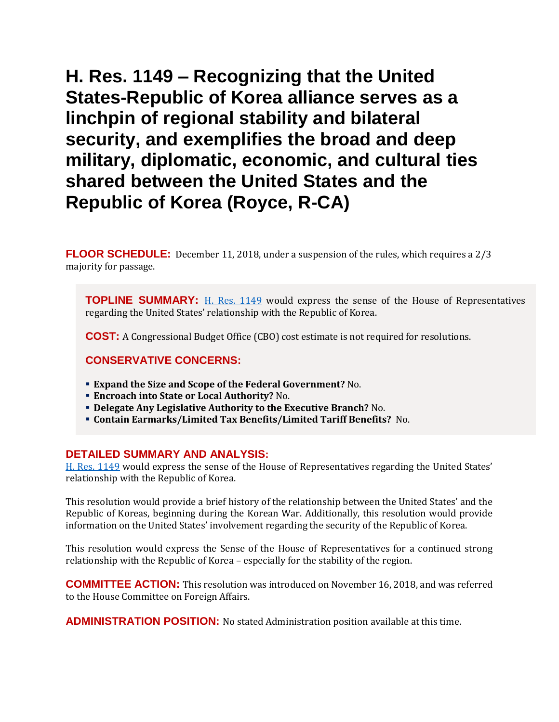<span id="page-20-0"></span>**H. Res. 1149 – Recognizing that the United States-Republic of Korea alliance serves as a linchpin of regional stability and bilateral security, and exemplifies the broad and deep military, diplomatic, economic, and cultural ties shared between the United States and the Republic of Korea (Royce, R-CA)**

**FLOOR SCHEDULE:** December 11, 2018, under a suspension of the rules, which requires a 2/3 majority for passage.

**TOPLINE SUMMARY:** [H. Res. 1149](https://docs.house.gov/billsthisweek/20181210/HRES1149.pdf) would express the sense of the House of Representatives regarding the United States' relationship with the Republic of Korea.

**COST:** A Congressional Budget Office (CBO) cost estimate is not required for resolutions.

### **CONSERVATIVE CONCERNS:**

- **Expand the Size and Scope of the Federal Government?** No.
- **Encroach into State or Local Authority?** No.
- **Delegate Any Legislative Authority to the Executive Branch?** No.
- **Contain Earmarks/Limited Tax Benefits/Limited Tariff Benefits?** No.

#### **DETAILED SUMMARY AND ANALYSIS:**

[H. Res. 1149](https://docs.house.gov/billsthisweek/20181210/HRES1149.pdf) would express the sense of the House of Representatives regarding the United States' relationship with the Republic of Korea.

This resolution would provide a brief history of the relationship between the United States' and the Republic of Koreas, beginning during the Korean War. Additionally, this resolution would provide information on the United States' involvement regarding the security of the Republic of Korea.

This resolution would express the Sense of the House of Representatives for a continued strong relationship with the Republic of Korea – especially for the stability of the region.

**COMMITTEE ACTION:** This resolution was introduced on November 16, 2018, and was referred to the House Committee on Foreign Affairs.

**ADMINISTRATION POSITION:** No stated Administration position available at this time.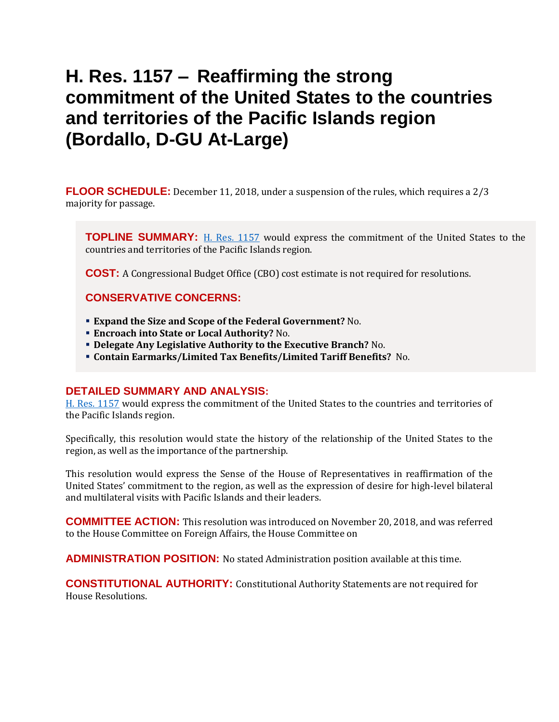## <span id="page-22-0"></span>**H. Res. 1157 – Reaffirming the strong commitment of the United States to the countries and territories of the Pacific Islands region (Bordallo, D-GU At-Large)**

**FLOOR SCHEDULE:** December 11, 2018, under a suspension of the rules, which requires a 2/3 majority for passage.

**TOPLINE SUMMARY:** [H. Res. 1157](https://docs.house.gov/billsthisweek/20181210/HRES1157.pdf) would express the commitment of the United States to the countries and territories of the Pacific Islands region.

**COST:** A Congressional Budget Office (CBO) cost estimate is not required for resolutions.

### **CONSERVATIVE CONCERNS:**

- **Expand the Size and Scope of the Federal Government?** No.
- **Encroach into State or Local Authority?** No.
- **Delegate Any Legislative Authority to the Executive Branch?** No.
- **Contain Earmarks/Limited Tax Benefits/Limited Tariff Benefits?** No.

### **DETAILED SUMMARY AND ANALYSIS:**

[H. Res. 1157](https://docs.house.gov/billsthisweek/20181210/HRES1157.pdf) would express the commitment of the United States to the countries and territories of the Pacific Islands region.

Specifically, this resolution would state the history of the relationship of the United States to the region, as well as the importance of the partnership.

This resolution would express the Sense of the House of Representatives in reaffirmation of the United States' commitment to the region, as well as the expression of desire for high-level bilateral and multilateral visits with Pacific Islands and their leaders.

**COMMITTEE ACTION:** This resolution was introduced on November 20, 2018, and was referred to the House Committee on Foreign Affairs, the House Committee on

**ADMINISTRATION POSITION:** No stated Administration position available at this time.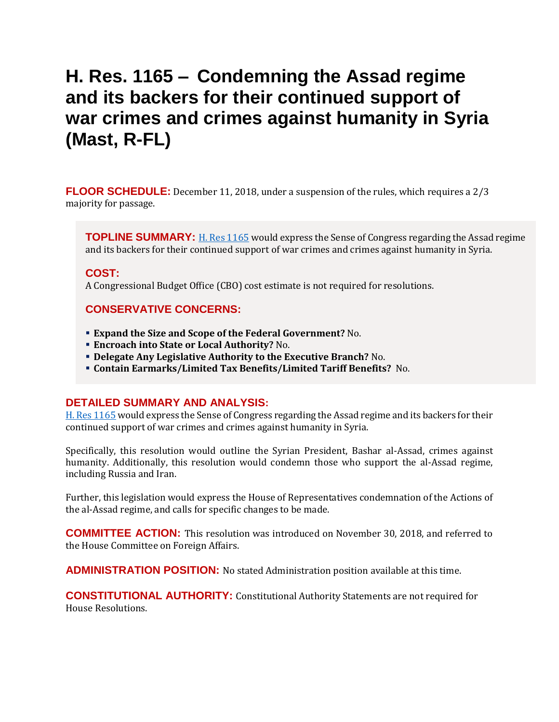## <span id="page-23-0"></span>**H. Res. 1165 – Condemning the Assad regime and its backers for their continued support of war crimes and crimes against humanity in Syria (Mast, R-FL)**

**FLOOR SCHEDULE:** December 11, 2018, under a suspension of the rules, which requires a 2/3 majority for passage.

**TOPLINE SUMMARY:** [H. Res 1165](https://docs.house.gov/billsthisweek/20181210/HRES1165.pdf) would express the Sense of Congress regarding the Assad regime and its backers for their continued support of war crimes and crimes against humanity in Syria.

### **COST:**

A Congressional Budget Office (CBO) cost estimate is not required for resolutions.

### **CONSERVATIVE CONCERNS:**

- **Expand the Size and Scope of the Federal Government?** No.
- **Encroach into State or Local Authority?** No.
- **Delegate Any Legislative Authority to the Executive Branch?** No.
- **Contain Earmarks/Limited Tax Benefits/Limited Tariff Benefits?** No.

#### **DETAILED SUMMARY AND ANALYSIS:**

[H. Res 1165](https://docs.house.gov/billsthisweek/20181210/HRES1165.pdf) would express the Sense of Congress regarding the Assad regime and its backers for their continued support of war crimes and crimes against humanity in Syria.

Specifically, this resolution would outline the Syrian President, Bashar al-Assad, crimes against humanity. Additionally, this resolution would condemn those who support the al-Assad regime, including Russia and Iran.

Further, this legislation would express the House of Representatives condemnation of the Actions of the al-Assad regime, and calls for specific changes to be made.

**COMMITTEE ACTION:** This resolution was introduced on November 30, 2018, and referred to the House Committee on Foreign Affairs.

**ADMINISTRATION POSITION:** No stated Administration position available at this time.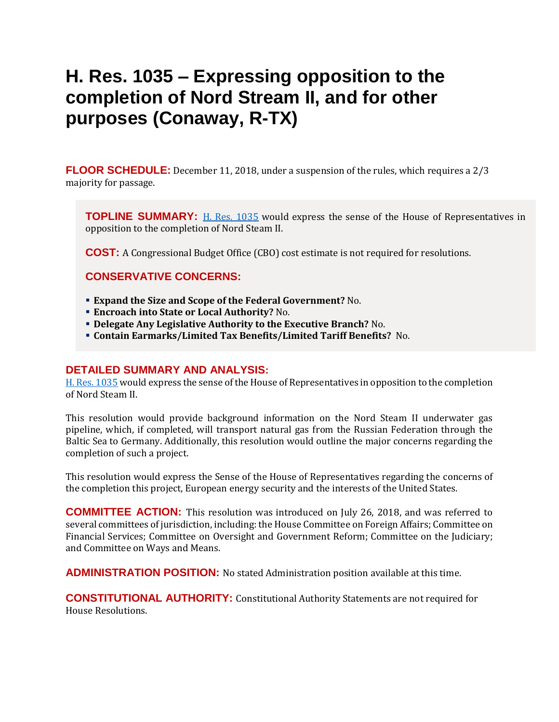## <span id="page-24-0"></span>**H. Res. 1035 – Expressing opposition to the completion of Nord Stream II, and for other purposes (Conaway, R-TX)**

**FLOOR SCHEDULE:** December 11, 2018, under a suspension of the rules, which requires a 2/3 majority for passage.

**TOPLINE SUMMARY:** [H. Res. 1035](https://docs.house.gov/billsthisweek/20181210/HRES1035.pdf) would express the sense of the House of Representatives in opposition to the completion of Nord Steam II.

**COST:** A Congressional Budget Office (CBO) cost estimate is not required for resolutions.

### **CONSERVATIVE CONCERNS:**

- **Expand the Size and Scope of the Federal Government?** No.
- **Encroach into State or Local Authority?** No.
- **Delegate Any Legislative Authority to the Executive Branch?** No.
- **Contain Earmarks/Limited Tax Benefits/Limited Tariff Benefits?** No.

### **DETAILED SUMMARY AND ANALYSIS:**

[H. Res. 1035](https://docs.house.gov/billsthisweek/20181210/HRES1035.pdf) would express the sense of the House of Representatives in opposition to the completion of Nord Steam II.

This resolution would provide background information on the Nord Steam II underwater gas pipeline, which, if completed, will transport natural gas from the Russian Federation through the Baltic Sea to Germany. Additionally, this resolution would outline the major concerns regarding the completion of such a project.

This resolution would express the Sense of the House of Representatives regarding the concerns of the completion this project, European energy security and the interests of the United States.

**COMMITTEE ACTION:** This resolution was introduced on July 26, 2018, and was referred to several committees of jurisdiction, including: the House Committee on Foreign Affairs; Committee on Financial Services; Committee on Oversight and Government Reform; Committee on the Judiciary; and Committee on Ways and Means.

**ADMINISTRATION POSITION:** No stated Administration position available at this time.